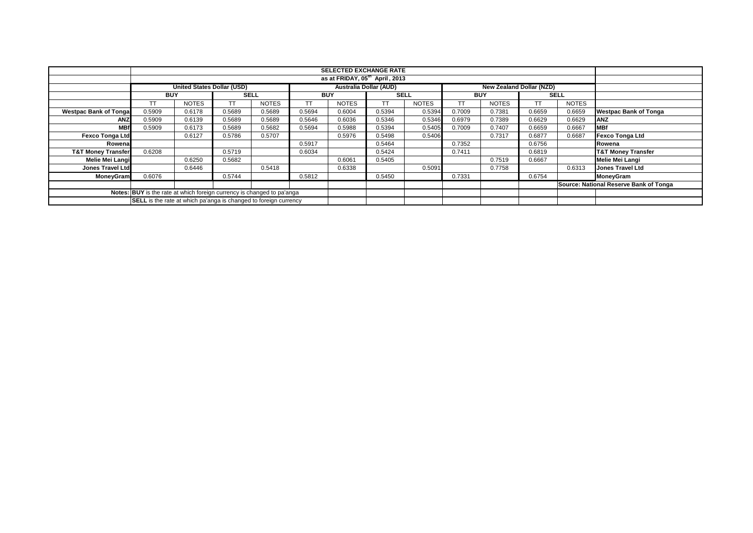|                                                                        |            |                                   |             |              |            | <b>SELECTED EXCHANGE RATE</b><br>as at FRIDAY, 05 <sup>th</sup> April, 2013 |             |              |            |                                 |        |              |                                        |
|------------------------------------------------------------------------|------------|-----------------------------------|-------------|--------------|------------|-----------------------------------------------------------------------------|-------------|--------------|------------|---------------------------------|--------|--------------|----------------------------------------|
|                                                                        |            |                                   |             |              |            |                                                                             |             |              |            |                                 |        |              |                                        |
|                                                                        |            | <b>United States Dollar (USD)</b> |             |              |            | <b>Australia Dollar (AUD)</b>                                               |             |              |            | <b>New Zealand Dollar (NZD)</b> |        |              |                                        |
|                                                                        | <b>BUY</b> |                                   | <b>SELL</b> |              | <b>BUY</b> |                                                                             | <b>SELL</b> |              | <b>BUY</b> |                                 |        | <b>SELL</b>  |                                        |
|                                                                        |            | <b>NOTES</b>                      |             | <b>NOTES</b> |            | <b>NOTES</b>                                                                | <b>TT</b>   | <b>NOTES</b> |            | <b>NOTES</b>                    | ТT     | <b>NOTES</b> |                                        |
| <b>Westpac Bank of Tongal</b>                                          | 0.5909     | 0.6178                            | 0.5689      | 0.5689       | 0.5694     | 0.6004                                                                      | 0.5394      | 0.5394       | 0.7009     | 0.7381                          | 0.6659 | 0.6659       | <b>Westpac Bank of Tonga</b>           |
| <b>ANZ</b>                                                             | 0.5909     | 0.6139                            | 0.5689      | 0.5689       | 0.5646     | 0.6036                                                                      | 0.5346      | 0.5346       | 0.6979     | 0.7389                          | 0.6629 | 0.6629       | <b>ANZ</b>                             |
| <b>MBf</b>                                                             | 0.5909     | 0.6173                            | 0.5689      | 0.5682       | 0.5694     | 0.5988                                                                      | 0.5394      | 0.5405       | 0.7009     | 0.7407                          | 0.6659 | 0.6667       | <b>MBf</b>                             |
| <b>Fexco Tonga Ltd</b>                                                 |            | 0.6127                            | 0.5786      | 0.5707       |            | 0.5976                                                                      | 0.5498      | 0.5406       |            | 0.7317                          | 0.6877 | 0.6687       | <b>Fexco Tonga Ltd</b>                 |
| Rowena                                                                 |            |                                   |             |              | 0.5917     |                                                                             | 0.5464      |              | 0.7352     |                                 | 0.6756 |              | Rowena                                 |
| <b>T&amp;T Money Transfer</b>                                          | 0.6208     |                                   | 0.5719      |              | 0.6034     |                                                                             | 0.5424      |              | 0.7411     |                                 | 0.6819 |              | <b>T&amp;T Money Transfer</b>          |
| Melie Mei Langi                                                        |            | 0.6250                            | 0.5682      |              |            | 0.6061                                                                      | 0.5405      |              |            | 0.7519                          | 0.6667 |              | <b>Melie Mei Langi</b>                 |
| <b>Jones Travel Ltd</b>                                                |            | 0.6446                            |             | 0.5418       |            | 0.6338                                                                      |             | 0.5091       |            | 0.7758                          |        | 0.6313       | <b>Jones Travel Ltd</b>                |
| MoneyGram                                                              | 0.6076     |                                   | 0.5744      |              | 0.5812     |                                                                             | 0.5450      |              | 0.7331     |                                 | 0.6754 |              | MoneyGram                              |
|                                                                        |            |                                   |             |              |            |                                                                             |             |              |            |                                 |        |              | Source: National Reserve Bank of Tonga |
| Notes: BUY is the rate at which foreign currency is changed to pa'anga |            |                                   |             |              |            |                                                                             |             |              |            |                                 |        |              |                                        |
| SELL is the rate at which pa'anga is changed to foreign currency       |            |                                   |             |              |            |                                                                             |             |              |            |                                 |        |              |                                        |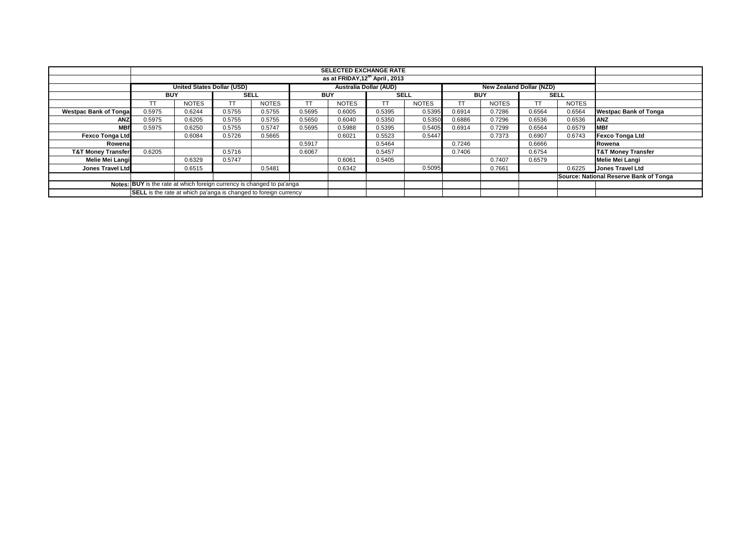|                                                                        |                                   |              |        |              |            |              | <b>SELECTED EXCHANGE RATE</b><br>as at FRIDAY, 12th April, 2013 |              |            |              |                                 |              |                                        |
|------------------------------------------------------------------------|-----------------------------------|--------------|--------|--------------|------------|--------------|-----------------------------------------------------------------|--------------|------------|--------------|---------------------------------|--------------|----------------------------------------|
|                                                                        |                                   |              |        |              |            |              |                                                                 |              |            |              |                                 |              |                                        |
|                                                                        | <b>United States Dollar (USD)</b> |              |        |              |            |              | <b>Australia Dollar (AUD)</b>                                   |              |            |              | <b>New Zealand Dollar (NZD)</b> |              |                                        |
|                                                                        | <b>BUY</b>                        |              |        | <b>SELL</b>  | <b>BUY</b> |              | <b>SELL</b>                                                     |              | <b>BUY</b> |              |                                 | <b>SELL</b>  |                                        |
|                                                                        | TT                                | <b>NOTES</b> |        | <b>NOTES</b> |            | <b>NOTES</b> | <b>TT</b>                                                       | <b>NOTES</b> | TТ         | <b>NOTES</b> | TT                              | <b>NOTES</b> |                                        |
| <b>Westpac Bank of Tongal</b>                                          | 0.5975                            | 0.6244       | 0.5755 | 0.5755       | 0.5695     | 0.6005       | 0.5395                                                          | 0.5395       | 0.6914     | 0.7286       | 0.6564                          | 0.6564       | <b>Westpac Bank of Tonga</b>           |
| <b>ANZ</b>                                                             | 0.5975                            | 0.6205       | 0.5755 | 0.5755       | 0.5650     | 0.6040       | 0.5350                                                          | 0.5350       | 0.6886     | 0.7296       | 0.6536                          | 0.6536       | <b>ANZ</b>                             |
| <b>MBf</b>                                                             | 0.5975                            | 0.6250       | 0.5755 | 0.5747       | 0.5695     | 0.5988       | 0.5395                                                          | 0.5405       | 0.6914     | 0.7299       | 0.6564                          | 0.6579       | <b>IMBf</b>                            |
| <b>Fexco Tonga Ltd</b>                                                 |                                   | 0.6084       | 0.5726 | 0.5665       |            | 0.6021       | 0.5523                                                          | 0.5447       |            | 0.7373       | 0.6907                          | 0.6743       | <b>Fexco Tonga Ltd</b>                 |
| Rowena                                                                 |                                   |              |        |              | 0.5917     |              | 0.5464                                                          |              | 0.7246     |              | 0.6666                          |              | Rowena                                 |
| <b>T&amp;T Money Transfer</b>                                          | 0.6205                            |              | 0.5716 |              | 0.6067     |              | 0.5457                                                          |              | 0.7406     |              | 0.6754                          |              | <b>T&amp;T Money Transfer</b>          |
| Melie Mei Langi                                                        |                                   | 0.6329       | 0.5747 |              |            | 0.6061       | 0.5405                                                          |              |            | 0.7407       | 0.6579                          |              | <b>Melie Mei Langi</b>                 |
| <b>Jones Travel Ltd</b>                                                |                                   | 0.6515       |        | 0.5481       |            | 0.6342       |                                                                 | 0.5095       |            | 0.7661       |                                 | 0.6225       | <b>Jones Travel Ltd</b>                |
|                                                                        |                                   |              |        |              |            |              |                                                                 |              |            |              |                                 |              | Source: National Reserve Bank of Tonga |
| Notes: BUY is the rate at which foreign currency is changed to pa'anga |                                   |              |        |              |            |              |                                                                 |              |            |              |                                 |              |                                        |
| SELL is the rate at which pa'anga is changed to foreign currency       |                                   |              |        |              |            |              |                                                                 |              |            |              |                                 |              |                                        |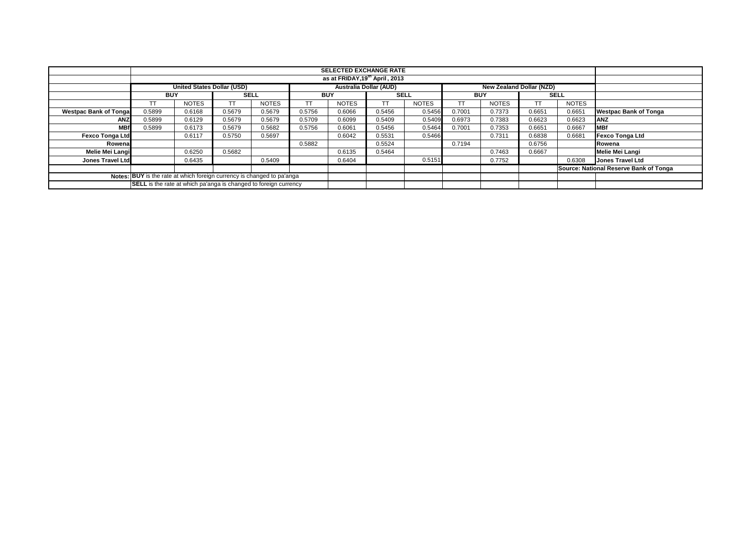|                                                                        | <b>SELECTED EXCHANGE RATE</b><br>as at FRIDAY, 19th April, 2013                                       |              |             |              |            |              |             |              |            |              |           |              |                                        |
|------------------------------------------------------------------------|-------------------------------------------------------------------------------------------------------|--------------|-------------|--------------|------------|--------------|-------------|--------------|------------|--------------|-----------|--------------|----------------------------------------|
|                                                                        |                                                                                                       |              |             |              |            |              |             |              |            |              |           |              |                                        |
|                                                                        | <b>Australia Dollar (AUD)</b><br><b>United States Dollar (USD)</b><br><b>New Zealand Dollar (NZD)</b> |              |             |              |            |              |             |              |            |              |           |              |                                        |
|                                                                        | <b>BUY</b>                                                                                            |              | <b>SELL</b> |              | <b>BUY</b> |              | <b>SELL</b> |              | <b>BUY</b> |              |           | <b>SELL</b>  |                                        |
|                                                                        | T                                                                                                     | <b>NOTES</b> |             | <b>NOTES</b> |            | <b>NOTES</b> | <b>TT</b>   | <b>NOTES</b> |            | <b>NOTES</b> | <b>TT</b> | <b>NOTES</b> |                                        |
| <b>Westpac Bank of Tonga</b>                                           | 0.5899                                                                                                | 0.6168       | 0.5679      | 0.5679       | 0.5756     | 0.6066       | 0.5456      | 0.5456       | 0.7001     | 0.7373       | 0.6651    | 0.6651       | <b>Westpac Bank of Tonga</b>           |
| ANZ                                                                    | 0.5899                                                                                                | 0.6129       | 0.5679      | 0.5679       | 0.5709     | 0.6099       | 0.5409      | 0.5409       | 0.6973     | 0.7383       | 0.6623    | 0.6623       | <b>ANZ</b>                             |
| <b>MBf</b>                                                             | 0.5899                                                                                                | 0.6173       | 0.5679      | 0.5682       | 0.5756     | 0.6061       | 0.5456      | 0.5464       | 0.7001     | 0.7353       | 0.6651    | 0.6667       | <b>MBf</b>                             |
| <b>Fexco Tonga Ltd</b>                                                 |                                                                                                       | 0.6117       | 0.5750      | 0.5697       |            | 0.6042       | 0.5531      | 0.5466       |            | 0.7311       | 0.6838    | 0.6681       | <b>Fexco Tonga Ltd</b>                 |
| Rowena                                                                 |                                                                                                       |              |             |              | 0.5882     |              | 0.5524      |              | 0.7194     |              | 0.6756    |              | Rowena                                 |
| <b>Melie Mei Langi</b>                                                 |                                                                                                       | 0.6250       | 0.5682      |              |            | 0.6135       | 0.5464      |              |            | 0.7463       | 0.6667    |              | <b>Melie Mei Langi</b>                 |
| <b>Jones Travel Ltd</b>                                                |                                                                                                       | 0.6435       |             | 0.5409       |            | 0.6404       |             | 0.5151       |            | 0.7752       |           | 0.6308       | <b>Jones Travel Ltd</b>                |
|                                                                        |                                                                                                       |              |             |              |            |              |             |              |            |              |           |              | Source: National Reserve Bank of Tonga |
| Notes: BUY is the rate at which foreign currency is changed to pa'anga |                                                                                                       |              |             |              |            |              |             |              |            |              |           |              |                                        |
| SELL is the rate at which pa'anga is changed to foreign currency       |                                                                                                       |              |             |              |            |              |             |              |            |              |           |              |                                        |